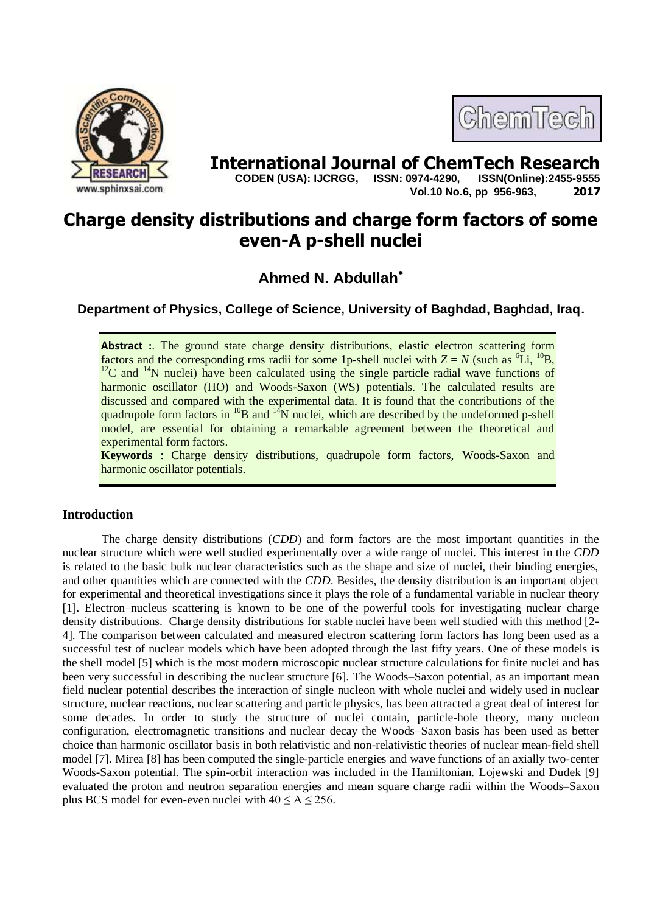



**International Journal of ChemTech Research**<br>CODEN (USA): IJCRGG. ISSN: 0974-4290. ISSN(Online):2455-9555  **CODEN (USA): IJCRGG, ISSN: 0974-4290, Vol.10 No.6, pp 956-963, 2017**

# **Charge density distributions and charge form factors of some even-A p-shell nuclei**

## **Ahmed N. Abdullah**

**Department of Physics, College of Science, University of Baghdad, Baghdad, Iraq.**

**Abstract :**. The ground state charge density distributions, elastic electron scattering form factors and the corresponding rms radii for some 1p-shell nuclei with  $Z = N$  (such as <sup>6</sup>Li, <sup>10</sup>B,  $12^{\circ}$ C and  $14^{\circ}$ N nuclei) have been calculated using the single particle radial wave functions of harmonic oscillator (HO) and Woods-Saxon (WS) potentials. The calculated results are discussed and compared with the experimental data. It is found that the contributions of the quadrupole form factors in  $^{10}B$  and  $^{14}N$  nuclei, which are described by the undeformed p-shell model, are essential for obtaining a remarkable agreement between the theoretical and experimental form factors.

**Keywords** : Charge density distributions, quadrupole form factors, Woods-Saxon and harmonic oscillator potentials.

### **Introduction**

1

The charge density distributions (*CDD*) and form factors are the most important quantities in the nuclear structure which were well studied experimentally over a wide range of nuclei. This interest in the *CDD*  is related to the basic bulk nuclear characteristics such as the shape and size of nuclei, their binding energies, and other quantities which are connected with the *CDD*. Besides, the density distribution is an important object for experimental and theoretical investigations since it plays the role of a fundamental variable in nuclear theory [1]. Electron–nucleus scattering is known to be one of the powerful tools for investigating nuclear charge density distributions. Charge density distributions for stable nuclei have been well studied with this method [2- 4]. The comparison between calculated and measured electron scattering form factors has long been used as a successful test of nuclear models which have been adopted through the last fifty years. One of these models is the shell model [5] which is the most modern microscopic nuclear structure calculations for finite nuclei and has been very successful in describing the nuclear structure [6]. The Woods–Saxon potential, as an important mean field nuclear potential describes the interaction of single nucleon with whole nuclei and widely used in nuclear structure, nuclear reactions, nuclear scattering and particle physics, has been attracted a great deal of interest for some decades. In order to study the structure of nuclei contain, particle-hole theory, many nucleon configuration, electromagnetic transitions and nuclear decay the Woods–Saxon basis has been used as better choice than harmonic oscillator basis in both relativistic and non-relativistic theories of nuclear mean-field shell model [7]. Mirea [8] has been computed the single-particle energies and wave functions of an axially two-center Woods-Saxon potential. The spin-orbit interaction was included in the Hamiltonian. Lojewski and Dudek [9] evaluated the proton and neutron separation energies and mean square charge radii within the Woods–Saxon plus BCS model for even-even nuclei with  $40 \le A \le 256$ .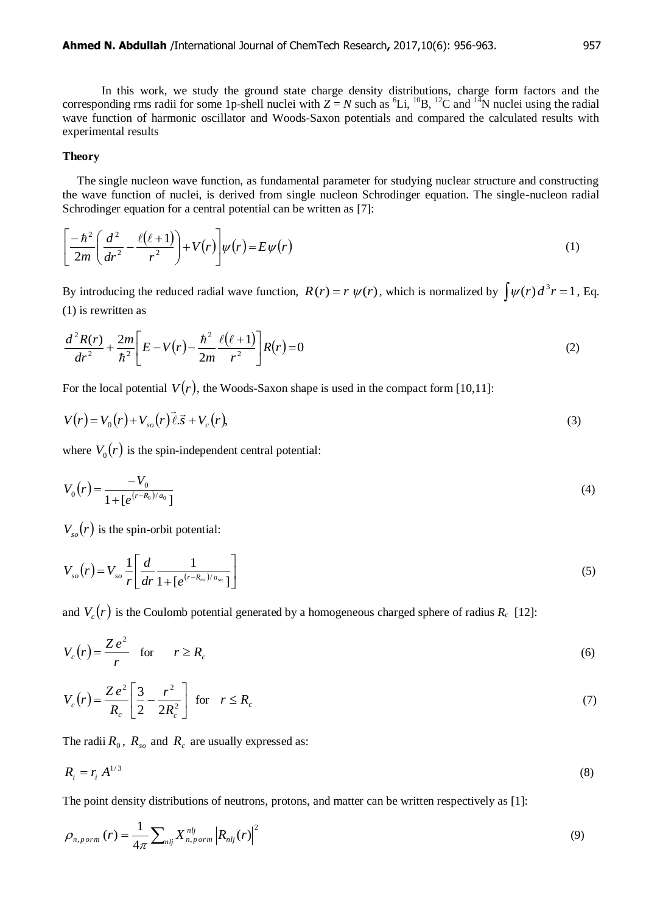In this work, we study the ground state charge density distributions, charge form factors and the corresponding rms radii for some 1p-shell nuclei with  $Z = N$  such as  ${}^{6}Li$ ,  ${}^{10}B$ ,  ${}^{12}C$  and  ${}^{14}N$  nuclei using the radial wave function of harmonic oscillator and Woods-Saxon potentials and compared the calculated results with experimental results

#### **Theory**

 The single nucleon wave function, as fundamental parameter for studying nuclear structure and constructing the wave function of nuclei, is derived from single nucleon Schrodinger equation. The single-nucleon radial Schrodinger equation for a central potential can be written as [7]:

$$
\left[\frac{-\hbar^2}{2m}\left(\frac{d^2}{dr^2}-\frac{\ell(\ell+1)}{r^2}\right)+V(r)\right]\psi(r)=E\psi(r)
$$
\n(1)

By introducing the reduced radial wave function,  $R(r) = r \psi(r)$ , which is normalized by  $\int \psi(r) d^3 r = 1$ , Eq. (1) is rewritten as

$$
\frac{d^2R(r)}{dr^2} + \frac{2m}{\hbar^2} \left[ E - V(r) - \frac{\hbar^2}{2m} \frac{\ell(\ell+1)}{r^2} \right] R(r) = 0
$$
\n(2)

For the local potential  $V(r)$ , the Woods-Saxon shape is used in the compact form [10,11]:

$$
V(r) = V_0(r) + V_{so}(r)\vec{\ell}.\vec{s} + V_c(r),
$$
\n(3)

where  $V_0(r)$  is the spin-independent central potential:

$$
V_0(r) = \frac{-V_0}{1 + [e^{(r - R_0)/a_0}]}
$$
\n(4)

 $V_{so}(r)$  is the spin-orbit potential:

$$
V_{so}(r) = V_{so} \frac{1}{r} \left[ \frac{d}{dr} \frac{1}{1 + [e^{(r - R_{ro})/a_{so}}]} \right]
$$
(5)

and  $V_c(r)$  is the Coulomb potential generated by a homogeneous charged sphere of radius  $R_c$  [12]:

$$
V_c(r) = \frac{Ze^2}{r} \quad \text{for} \quad r \ge R_c \tag{6}
$$

$$
V_c(r) = \frac{Ze^2}{R_c} \left[ \frac{3}{2} - \frac{r^2}{2R_c^2} \right] \quad \text{for} \quad r \le R_c \tag{7}
$$

The radii  $R_0$ ,  $R_{so}$  and  $R_c$  are usually expressed as:

$$
R_i = r_i A^{1/3} \tag{8}
$$

The point density distributions of neutrons, protons, and matter can be written respectively as [1]:

$$
\rho_{n, norm}(r) = \frac{1}{4\pi} \sum_{n l j} X_{n, norm}^{n l j} \left| R_{n l j}(r) \right|^2 \tag{9}
$$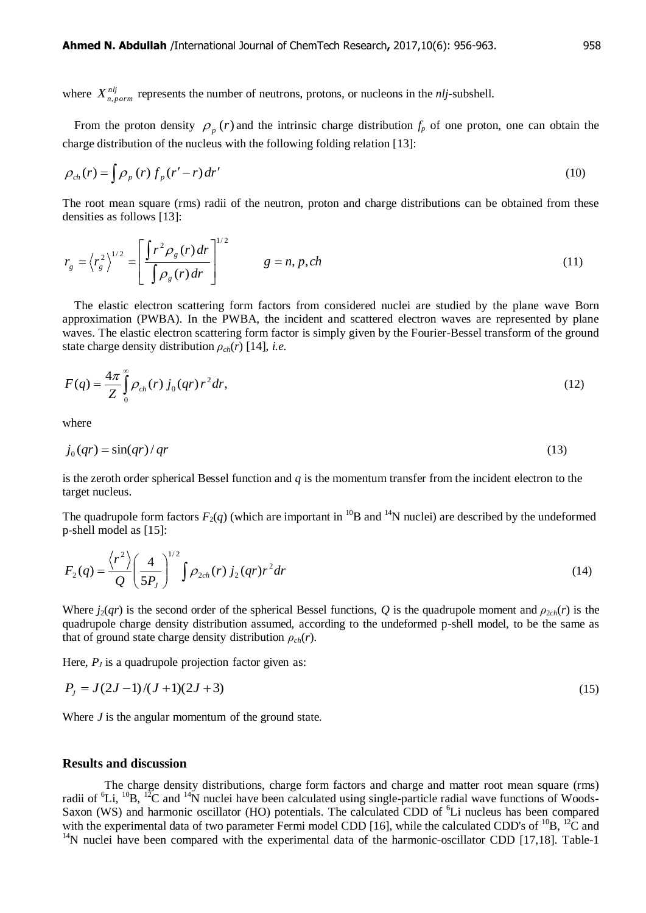where  $X_{n, norm}^{nij}$  represents the number of neutrons, protons, or nucleons in the *nlj*-subshell.

From the proton density  $\rho_p(r)$  and the intrinsic charge distribution  $f_p$  of one proton, one can obtain the charge distribution of the nucleus with the following folding relation [13]:

$$
\rho_{ch}(r) = \int \rho_p(r) f_p(r'-r) dr'
$$
\n(10)

The root mean square (rms) radii of the neutron, proton and charge distributions can be obtained from these densities as follows [13]:

$$
r_g = \left\langle r_g^2 \right\rangle^{1/2} = \left[ \frac{\int r^2 \rho_g(r) dr}{\int \rho_g(r) dr} \right]^{1/2} \qquad g = n, p, ch \tag{11}
$$

 The elastic electron scattering form factors from considered nuclei are studied by the plane wave Born approximation (PWBA). In the PWBA, the incident and scattered electron waves are represented by plane waves. The elastic electron scattering form factor is simply given by the Fourier-Bessel transform of the ground state charge density distribution  $\rho_{ch}(r)$  [14], *i.e.* 

$$
F(q) = \frac{4\pi}{Z} \int_{0}^{\infty} \rho_{ch}(r) j_0(qr) r^2 dr,
$$
\n(12)

where

$$
j_0(qr) = \sin(qr)/qr \tag{13}
$$

is the zeroth order spherical Bessel function and *q* is the momentum transfer from the incident electron to the target nucleus.

The quadrupole form factors  $F_2(q)$  (which are important in <sup>10</sup>B and <sup>14</sup>N nuclei) are described by the undeformed p-shell model as [15]:

$$
F_2(q) = \frac{\langle r^2 \rangle}{Q} \left(\frac{4}{5P_J}\right)^{1/2} \int \rho_{2ch}(r) \, j_2(qr) r^2 dr \tag{14}
$$

Where  $j_2(qr)$  is the second order of the spherical Bessel functions, *Q* is the quadrupole moment and  $\rho_{2ch}(r)$  is the quadrupole charge density distribution assumed, according to the undeformed p-shell model, to be the same as that of ground state charge density distribution  $\rho_{ch}(r)$ .

Here,  $P_J$  is a quadrupole projection factor given as:

$$
P_J = J(2J - 1)/(J + 1)(2J + 3) \tag{15}
$$

Where *J* is the angular momentum of the ground state.

#### **Results and discussion**

 The charge density distributions, charge form factors and charge and matter root mean square (rms) radii of  ${}^{6}Li$ ,  ${}^{10}B$ ,  ${}^{12}C$  and  ${}^{14}N$  nuclei have been calculated using single-particle radial wave functions of Woods-Saxon (WS) and harmonic oscillator (HO) potentials. The calculated CDD of <sup>6</sup>Li nucleus has been compared with the experimental data of two parameter Fermi model CDD [16], while the calculated CDD's of  ${}^{10}B$ ,  ${}^{12}C$  and  $14$ N nuclei have been compared with the experimental data of the harmonic-oscillator CDD [17,18]. Table-1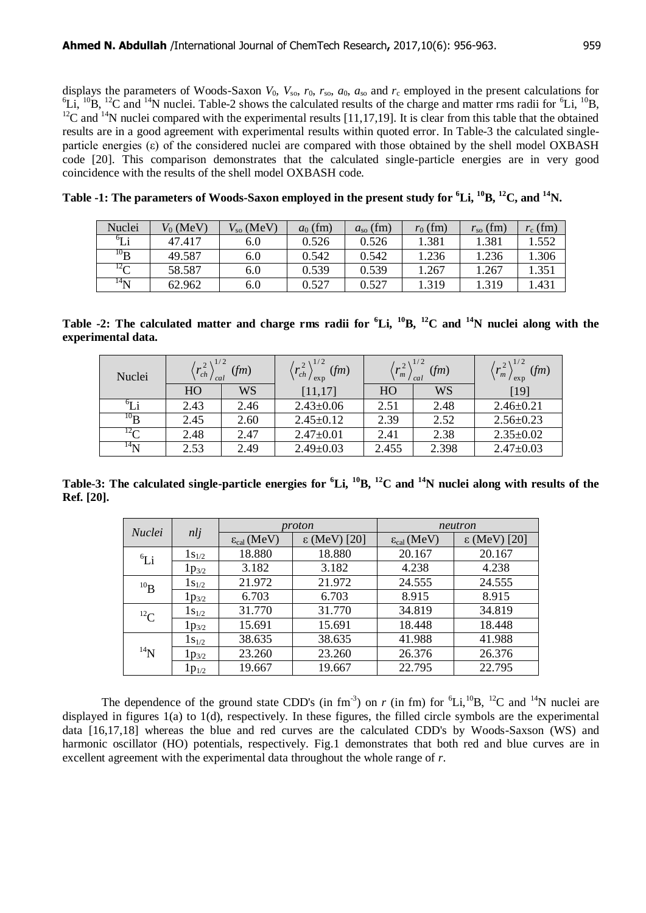displays the parameters of Woods-Saxon  $V_0$ ,  $V_{so}$ ,  $r_0$ ,  $r_{so}$ ,  $a_0$ ,  $a_{so}$  and  $r_c$  employed in the present calculations for  ${}^{6}Li$ ,  ${}^{10}B$ ,  ${}^{12}C$  and  ${}^{14}N$  nuclei. Table-2 shows the calculated results of the charge and matter rms radii for  ${}^{6}Li$ ,  ${}^{10}B$ , <sup>12</sup>C and <sup>14</sup>N nuclei compared with the experimental results [11,17,19]. It is clear from this table that the obtained results are in a good agreement with experimental results within quoted error. In Table-3 the calculated singleparticle energies (ε) of the considered nuclei are compared with those obtained by the shell model OXBASH code [20]. This comparison demonstrates that the calculated single-particle energies are in very good coincidence with the results of the shell model OXBASH code.

| Nuclei         | $V_0$ (MeV) | $V_{\rm so}$ (MeV) | $a_0$ (fm) | $a_{\rm so}$ (fm) | $r_0$ (fm) | $r_{\rm so}$ (fm) | $r_c$ (fm) |
|----------------|-------------|--------------------|------------|-------------------|------------|-------------------|------------|
| $^{6}$ T i     | 47.417      | 6.0                | 0.526      | 0.526             | 1.381      | 1.381             | 1.552      |
| $^{10}B$       | 49.587      | 6.0                | 0.542      | 0.542             | 1.236      | 1.236             | .306       |
| $^{12}$ $\sim$ | 58.587      | 6.0                | 0.539      | 0.539             | 1.267      | 1.267             | .351       |
| $^{14}N$       | 62.962      | 6.0                | 0.527      | 0.527             | 1.319      | 1.319             | .431       |

**Table -1: The parameters of Woods-Saxon employed in the present study for <sup>6</sup>Li, <sup>10</sup>B, <sup>12</sup>C, and <sup>14</sup>N.**

**Table -2:** The calculated matter and charge rms radii for  ${}^6$ Li,  ${}^{10}$ B,  ${}^{12}$ C and  ${}^{14}$ N nuclei along with the **experimental data.**

| Nuclei                     | $\left\langle r_{ch}^2 \right\rangle^{1/2}$<br>(fm)<br>cal |      | (fm)<br>$\mathbf{r}_{ch}$<br>exp | $2\sqrt{1/2}$<br>(fm)<br>$^{\prime}$ m<br>cal |       | (fm)<br>$n_{m}$<br>exp |
|----------------------------|------------------------------------------------------------|------|----------------------------------|-----------------------------------------------|-------|------------------------|
|                            | HO                                                         | WS   | [11, 17]                         | HO                                            | WS    | $[19]$                 |
| $\mathcal{O}_{\mathbf{L}}$ | 2.43                                                       | 2.46 | $2.43 \pm 0.06$                  | 2.51                                          | 2.48  | $2.46 \pm 0.21$        |
| $^{10}$ R                  | 2.45                                                       | 2.60 | $2.45 \pm 0.12$                  | 2.39                                          | 2.52  | $2.56 \pm 0.23$        |
| $^{12}$ $\sim$             | 2.48                                                       | 2.47 | $2.47 \pm 0.01$                  | 2.41                                          | 2.38  | $2.35 \pm 0.02$        |
| $^{14}$ N                  | 2.53                                                       | 2.49 | $2.49 \pm 0.03$                  | 2.455                                         | 2.398 | $2.47 \pm 0.03$        |

**Table-3: The calculated single-particle energies for <sup>6</sup>Li, <sup>10</sup>B, <sup>12</sup>C and <sup>14</sup>N nuclei along with results of the Ref. [20].** 

| <i>Nuclei</i> | nli        |                               | proton                | neutron                       |                       |  |
|---------------|------------|-------------------------------|-----------------------|-------------------------------|-----------------------|--|
|               |            | $\varepsilon_{\rm cal}$ (MeV) | $\epsilon$ (MeV) [20] | $\varepsilon_{\rm cal}$ (MeV) | $\epsilon$ (MeV) [20] |  |
| ${}^6Li$      | $1s_{1/2}$ | 18.880                        | 18.880                | 20.167                        | 20.167                |  |
|               | $1p_{3/2}$ | 3.182                         | 3.182                 | 4.238                         | 4.238                 |  |
| $^{10}$ B     | $1s_{1/2}$ | 21.972                        | 21.972                | 24.555                        | 24.555                |  |
|               | $1p_{3/2}$ | 6.703                         | 6.703                 | 8.915                         | 8.915                 |  |
| ${}^{12}C$    | $1s_{1/2}$ | 31.770                        | 31.770                | 34.819                        | 34.819                |  |
|               | $1p_{3/2}$ | 15.691                        | 15.691                | 18.448                        | 18.448                |  |
| $^{14}N$      | $1s_{1/2}$ | 38.635                        | 38.635                | 41.988                        | 41.988                |  |
|               | $1p_{3/2}$ | 23.260                        | 23.260                | 26.376                        | 26.376                |  |
|               | $1p_{1/2}$ | 19.667                        | 19.667                | 22.795                        | 22.795                |  |

The dependence of the ground state CDD's (in  $\text{fm}^{-3}$ ) on *r* (in fm) for  ${}^{6}\text{Li}^{10}\text{B}$ , <sup>12</sup>C and <sup>14</sup>N nuclei are displayed in figures 1(a) to 1(d), respectively. In these figures, the filled circle symbols are the experimental data [16,17,18] whereas the blue and red curves are the calculated CDD's by Woods-Saxson (WS) and harmonic oscillator (HO) potentials, respectively. Fig.1 demonstrates that both red and blue curves are in excellent agreement with the experimental data throughout the whole range of *r*.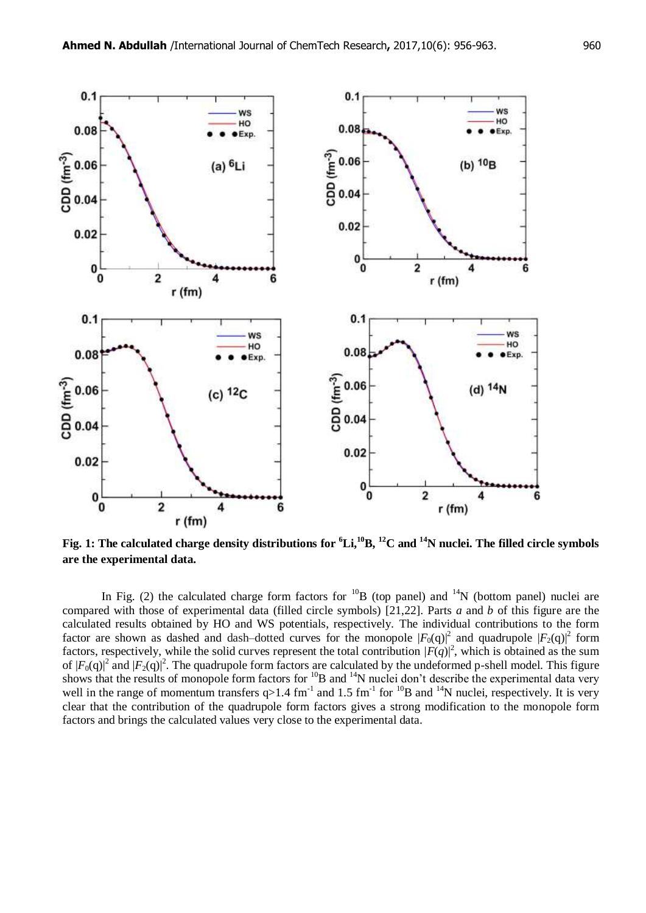

**Fig. 1: The calculated charge density distributions for <sup>6</sup>Li,<sup>10</sup>B, <sup>12</sup>C and <sup>14</sup>N nuclei. The filled circle symbols are the experimental data.**

In Fig. (2) the calculated charge form factors for  $^{10}B$  (top panel) and  $^{14}N$  (bottom panel) nuclei are compared with those of experimental data (filled circle symbols) [21,22]. Parts *a* and *b* of this figure are the calculated results obtained by HO and WS potentials, respectively. The individual contributions to the form factor are shown as dashed and dash-dotted curves for the monopole  $|F_0(q)|^2$  and quadrupole  $|F_2(q)|^2$  form factors, respectively, while the solid curves represent the total contribution  $|F(q)|^2$ , which is obtained as the sum of  $|F_0(q)|^2$  and  $|F_2(q)|^2$ . The quadrupole form factors are calculated by the undeformed p-shell model. This figure shows that the results of monopole form factors for  ${}^{10}B$  and  ${}^{14}N$  nuclei don't describe the experimental data very well in the range of momentum transfers  $q>1.4$  fm<sup>-1</sup> and 1.5 fm<sup>-1</sup> for <sup>10</sup>B and <sup>14</sup>N nuclei, respectively. It is very clear that the contribution of the quadrupole form factors gives a strong modification to the monopole form factors and brings the calculated values very close to the experimental data.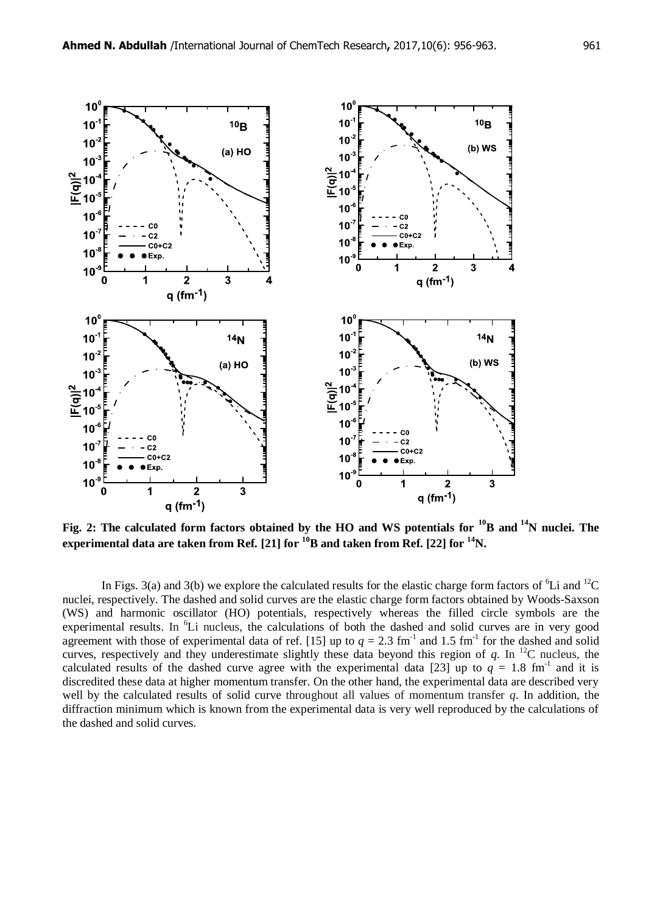

**Fig. 2: The calculated form factors obtained by the HO and WS potentials for <sup>10</sup>B and <sup>14</sup>N nuclei. The experimental data are taken from Ref.** [21] for  $\frac{10}{10}$  B and taken from Ref. [22] for  $\frac{14}{10}$ N.

In Figs. 3(a) and 3(b) we explore the calculated results for the elastic charge form factors of  ${}^{6}$ Li and  ${}^{12}$ C nuclei, respectively. The dashed and solid curves are the elastic charge form factors obtained by Woods-Saxson (WS) and harmonic oscillator (HO) potentials, respectively whereas the filled circle symbols are the experimental results. In  ${}^{6}$ Li nucleus, the calculations of both the dashed and solid curves are in very good agreement with those of experimental data of ref. [15] up to  $q = 2.3$  fm<sup>-1</sup> and 1.5 fm<sup>-1</sup> for the dashed and solid curves, respectively and they underestimate slightly these data beyond this region of  $q$ . In <sup>12</sup>C nucleus, the calculated results of the dashed curve agree with the experimental data [23] up to  $q = 1.8$  fm<sup>-1</sup> and it is discredited these data at higher momentum transfer. On the other hand, the experimental data are described very well by the calculated results of solid curve throughout all values of momentum transfer *q*. In addition, the diffraction minimum which is known from the experimental data is very well reproduced by the calculations of the dashed and solid curves.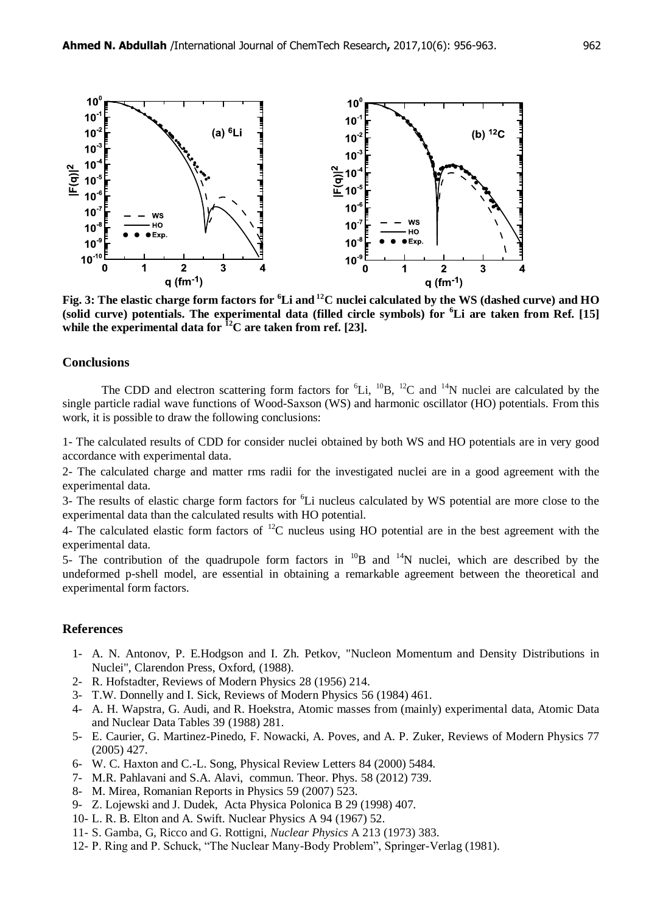

**Fig. 3: The elastic charge form factors for <sup>6</sup>Li and <sup>12</sup>C nuclei calculated by the WS (dashed curve) and HO (solid curve) potentials. The experimental data (filled circle symbols) for <sup>6</sup>Li are taken from Ref. [15] while the experimental data for <sup>12</sup>C are taken from ref. [23].**

#### **Conclusions**

The CDD and electron scattering form factors for  ${}^{6}Li$ ,  ${}^{10}B$ ,  ${}^{12}C$  and  ${}^{14}N$  nuclei are calculated by the single particle radial wave functions of Wood-Saxson (WS) and harmonic oscillator (HO) potentials. From this work, it is possible to draw the following conclusions:

1- The calculated results of CDD for consider nuclei obtained by both WS and HO potentials are in very good accordance with experimental data.

2- The calculated charge and matter rms radii for the investigated nuclei are in a good agreement with the experimental data.

3- The results of elastic charge form factors for <sup>6</sup>Li nucleus calculated by WS potential are more close to the experimental data than the calculated results with HO potential.

4- The calculated elastic form factors of  ${}^{12}C$  nucleus using HO potential are in the best agreement with the experimental data.

5- The contribution of the quadrupole form factors in  $^{10}B$  and  $^{14}N$  nuclei, which are described by the undeformed p-shell model, are essential in obtaining a remarkable agreement between the theoretical and experimental form factors.

#### **References**

- 1- A. N. Antonov, P. E.Hodgson and I. Zh. Petkov, "Nucleon Momentum and Density Distributions in Nuclei", Clarendon Press, Oxford, (1988).
- 2- R. Hofstadter, Reviews of Modern Physics 28 (1956) 214.
- 3- T.W. Donnelly and I. Sick, Reviews of Modern Physics 56 (1984) 461.
- 4- A. H. Wapstra, G. Audi, and R. Hoekstra, Atomic masses from (mainly) experimental data, Atomic Data and Nuclear Data Tables 39 (1988) 281.
- 5- E. Caurier, G. Martinez-Pinedo, F. Nowacki, A. Poves, and A. P. Zuker, Reviews of Modern Physics 77 (2005) 427.
- 6- W. C. Haxton and C.-L. Song, Physical Review Letters 84 (2000) 5484.
- 7- M.R. Pahlavani and S.A. Alavi, commun. Theor. Phys. 58 (2012) 739.
- 8- M. Mirea, Romanian Reports in Physics 59 (2007) 523.
- 9- Z. Lojewski and J. Dudek, Acta Physica Polonica B 29 (1998) 407.
- 10- L. R. B. Elton and A. Swift. Nuclear Physics A 94 (1967) 52.
- 11- S. Gamba, G, Ricco and G. Rottigni, *Nuclear Physics* A 213 (1973) 383.
- 12- P. Ring and P. Schuck, "The Nuclear Many-Body Problem", Springer-Verlag (1981).